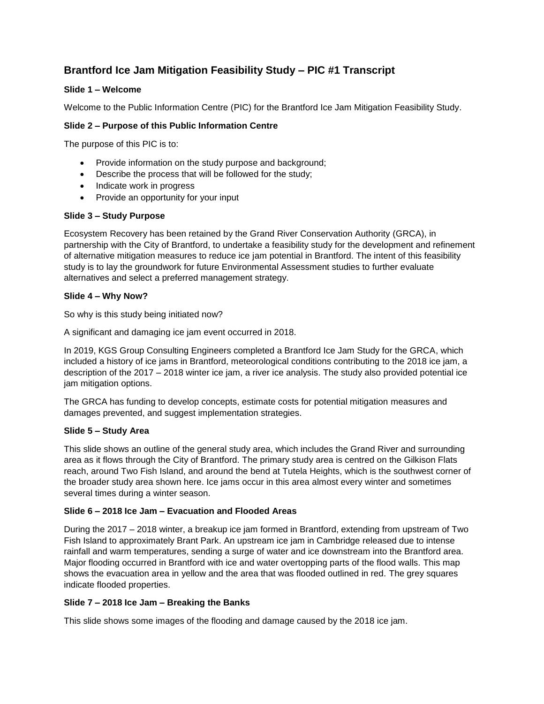# **Brantford Ice Jam Mitigation Feasibility Study – PIC #1 Transcript**

# **Slide 1 – Welcome**

Welcome to the Public Information Centre (PIC) for the Brantford Ice Jam Mitigation Feasibility Study.

# **Slide 2 – Purpose of this Public Information Centre**

The purpose of this PIC is to:

- Provide information on the study purpose and background;
- Describe the process that will be followed for the study;
- Indicate work in progress
- Provide an opportunity for your input

# **Slide 3 – Study Purpose**

Ecosystem Recovery has been retained by the Grand River Conservation Authority (GRCA), in partnership with the City of Brantford, to undertake a feasibility study for the development and refinement of alternative mitigation measures to reduce ice jam potential in Brantford. The intent of this feasibility study is to lay the groundwork for future Environmental Assessment studies to further evaluate alternatives and select a preferred management strategy.

# **Slide 4 – Why Now?**

So why is this study being initiated now?

A significant and damaging ice jam event occurred in 2018.

In 2019, KGS Group Consulting Engineers completed a Brantford Ice Jam Study for the GRCA, which included a history of ice jams in Brantford, meteorological conditions contributing to the 2018 ice jam, a description of the 2017 – 2018 winter ice jam, a river ice analysis. The study also provided potential ice jam mitigation options.

The GRCA has funding to develop concepts, estimate costs for potential mitigation measures and damages prevented, and suggest implementation strategies.

## **Slide 5 – Study Area**

This slide shows an outline of the general study area, which includes the Grand River and surrounding area as it flows through the City of Brantford. The primary study area is centred on the Gilkison Flats reach, around Two Fish Island, and around the bend at Tutela Heights, which is the southwest corner of the broader study area shown here. Ice jams occur in this area almost every winter and sometimes several times during a winter season.

## **Slide 6 – 2018 Ice Jam – Evacuation and Flooded Areas**

During the 2017 – 2018 winter, a breakup ice jam formed in Brantford, extending from upstream of Two Fish Island to approximately Brant Park. An upstream ice jam in Cambridge released due to intense rainfall and warm temperatures, sending a surge of water and ice downstream into the Brantford area. Major flooding occurred in Brantford with ice and water overtopping parts of the flood walls. This map shows the evacuation area in yellow and the area that was flooded outlined in red. The grey squares indicate flooded properties.

## **Slide 7 – 2018 Ice Jam – Breaking the Banks**

This slide shows some images of the flooding and damage caused by the 2018 ice jam.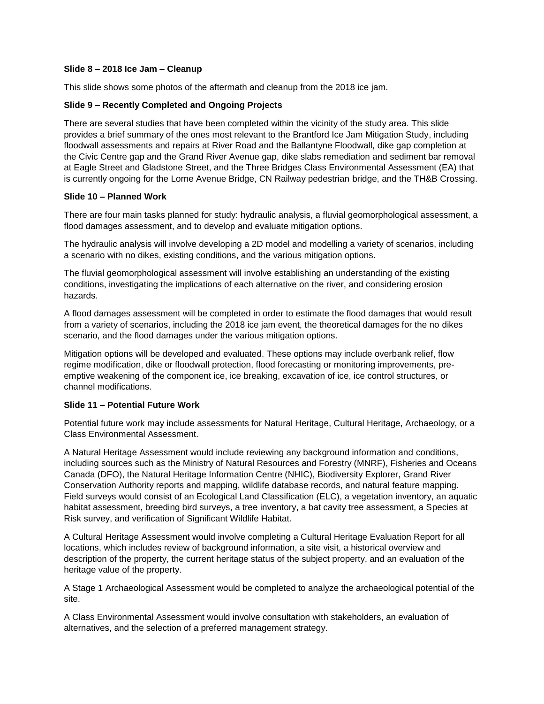#### **Slide 8 – 2018 Ice Jam – Cleanup**

This slide shows some photos of the aftermath and cleanup from the 2018 ice jam.

#### **Slide 9 – Recently Completed and Ongoing Projects**

There are several studies that have been completed within the vicinity of the study area. This slide provides a brief summary of the ones most relevant to the Brantford Ice Jam Mitigation Study, including floodwall assessments and repairs at River Road and the Ballantyne Floodwall, dike gap completion at the Civic Centre gap and the Grand River Avenue gap, dike slabs remediation and sediment bar removal at Eagle Street and Gladstone Street, and the Three Bridges Class Environmental Assessment (EA) that is currently ongoing for the Lorne Avenue Bridge, CN Railway pedestrian bridge, and the TH&B Crossing.

#### **Slide 10 – Planned Work**

There are four main tasks planned for study: hydraulic analysis, a fluvial geomorphological assessment, a flood damages assessment, and to develop and evaluate mitigation options.

The hydraulic analysis will involve developing a 2D model and modelling a variety of scenarios, including a scenario with no dikes, existing conditions, and the various mitigation options.

The fluvial geomorphological assessment will involve establishing an understanding of the existing conditions, investigating the implications of each alternative on the river, and considering erosion hazards.

A flood damages assessment will be completed in order to estimate the flood damages that would result from a variety of scenarios, including the 2018 ice jam event, the theoretical damages for the no dikes scenario, and the flood damages under the various mitigation options.

Mitigation options will be developed and evaluated. These options may include overbank relief, flow regime modification, dike or floodwall protection, flood forecasting or monitoring improvements, preemptive weakening of the component ice, ice breaking, excavation of ice, ice control structures, or channel modifications.

## **Slide 11 – Potential Future Work**

Potential future work may include assessments for Natural Heritage, Cultural Heritage, Archaeology, or a Class Environmental Assessment.

A Natural Heritage Assessment would include reviewing any background information and conditions, including sources such as the Ministry of Natural Resources and Forestry (MNRF), Fisheries and Oceans Canada (DFO), the Natural Heritage Information Centre (NHIC), Biodiversity Explorer, Grand River Conservation Authority reports and mapping, wildlife database records, and natural feature mapping. Field surveys would consist of an Ecological Land Classification (ELC), a vegetation inventory, an aquatic habitat assessment, breeding bird surveys, a tree inventory, a bat cavity tree assessment, a Species at Risk survey, and verification of Significant Wildlife Habitat.

A Cultural Heritage Assessment would involve completing a Cultural Heritage Evaluation Report for all locations, which includes review of background information, a site visit, a historical overview and description of the property, the current heritage status of the subject property, and an evaluation of the heritage value of the property.

A Stage 1 Archaeological Assessment would be completed to analyze the archaeological potential of the site.

A Class Environmental Assessment would involve consultation with stakeholders, an evaluation of alternatives, and the selection of a preferred management strategy.